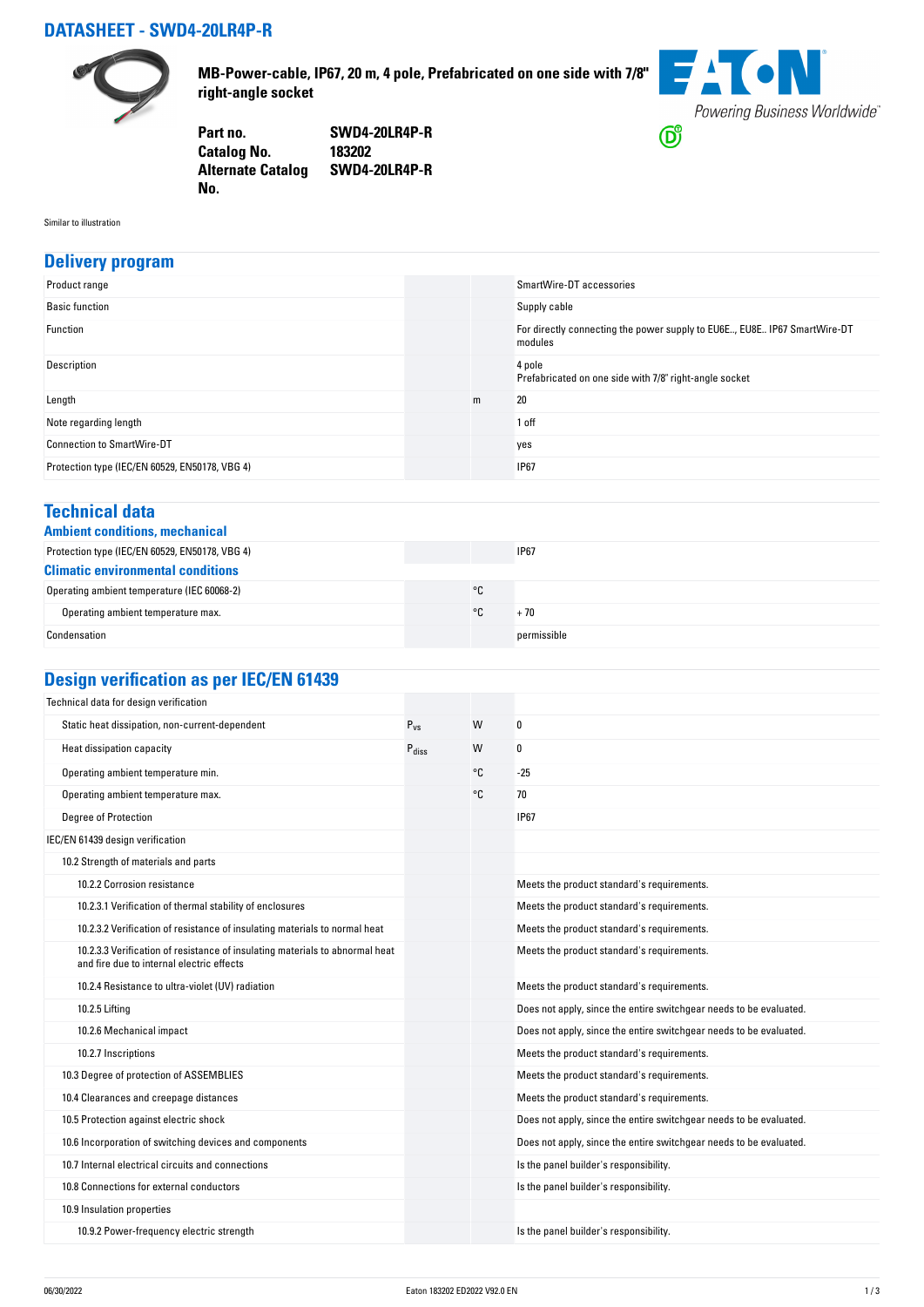## **DATASHEET - SWD4-20LR4P-R**



**MB-Power-cable, IP67, 20 m, 4 pole, Prefabricated on one side with 7/8" right-angle socket**



**Part no. SWD4-20LR4P-R Catalog No. Alternate Catalog SWD4-20LR4P-R No.** 

Similar to illustration

#### **Delivery program**

| Product range                                  |   | SmartWire-DT accessories                                                            |
|------------------------------------------------|---|-------------------------------------------------------------------------------------|
| <b>Basic function</b>                          |   | Supply cable                                                                        |
| Function                                       |   | For directly connecting the power supply to EU6E, EU8E IP67 SmartWire-DT<br>modules |
| Description                                    |   | 4 pole<br>Prefabricated on one side with 7/8" right-angle socket                    |
| Length                                         | m | 20                                                                                  |
| Note regarding length                          |   | 1 off                                                                               |
| <b>Connection to SmartWire-DT</b>              |   | yes                                                                                 |
| Protection type (IEC/EN 60529, EN50178, VBG 4) |   | <b>IP67</b>                                                                         |

#### **Technical data**

|  | <b>Ambient conditions, mechanica</b> |
|--|--------------------------------------|
|  |                                      |

| Ambient conditions, mechanical                 |    |             |  |
|------------------------------------------------|----|-------------|--|
| Protection type (IEC/EN 60529, EN50178, VBG 4) |    | <b>IP67</b> |  |
| <b>Climatic environmental conditions</b>       |    |             |  |
| Operating ambient temperature (IEC 60068-2)    | °C |             |  |
| Operating ambient temperature max.             | ۰c | + 70        |  |
| Condensation                                   |    | permissible |  |

# **Design verification as per IEC/EN 61439**

| Technical data for design verification                                                                                    |                   |    |                                                                    |
|---------------------------------------------------------------------------------------------------------------------------|-------------------|----|--------------------------------------------------------------------|
| Static heat dissipation, non-current-dependent                                                                            | $P_{VS}$          | W  | 0                                                                  |
| Heat dissipation capacity                                                                                                 | $P_{\text{diss}}$ | W  | 0                                                                  |
| Operating ambient temperature min.                                                                                        |                   | °C | $-25$                                                              |
| Operating ambient temperature max.                                                                                        |                   | °C | 70                                                                 |
| <b>Degree of Protection</b>                                                                                               |                   |    | <b>IP67</b>                                                        |
| IEC/EN 61439 design verification                                                                                          |                   |    |                                                                    |
| 10.2 Strength of materials and parts                                                                                      |                   |    |                                                                    |
| 10.2.2 Corrosion resistance                                                                                               |                   |    | Meets the product standard's requirements.                         |
| 10.2.3.1 Verification of thermal stability of enclosures                                                                  |                   |    | Meets the product standard's requirements.                         |
| 10.2.3.2 Verification of resistance of insulating materials to normal heat                                                |                   |    | Meets the product standard's requirements.                         |
| 10.2.3.3 Verification of resistance of insulating materials to abnormal heat<br>and fire due to internal electric effects |                   |    | Meets the product standard's requirements.                         |
| 10.2.4 Resistance to ultra-violet (UV) radiation                                                                          |                   |    | Meets the product standard's requirements.                         |
| 10.2.5 Lifting                                                                                                            |                   |    | Does not apply, since the entire switchgear needs to be evaluated. |
| 10.2.6 Mechanical impact                                                                                                  |                   |    | Does not apply, since the entire switchgear needs to be evaluated. |
| 10.2.7 Inscriptions                                                                                                       |                   |    | Meets the product standard's requirements.                         |
| 10.3 Degree of protection of ASSEMBLIES                                                                                   |                   |    | Meets the product standard's requirements.                         |
| 10.4 Clearances and creepage distances                                                                                    |                   |    | Meets the product standard's requirements.                         |
| 10.5 Protection against electric shock                                                                                    |                   |    | Does not apply, since the entire switchgear needs to be evaluated. |
| 10.6 Incorporation of switching devices and components                                                                    |                   |    | Does not apply, since the entire switchgear needs to be evaluated. |
| 10.7 Internal electrical circuits and connections                                                                         |                   |    | Is the panel builder's responsibility.                             |
| 10.8 Connections for external conductors                                                                                  |                   |    | Is the panel builder's responsibility.                             |
| 10.9 Insulation properties                                                                                                |                   |    |                                                                    |
| 10.9.2 Power-frequency electric strength                                                                                  |                   |    | Is the panel builder's responsibility.                             |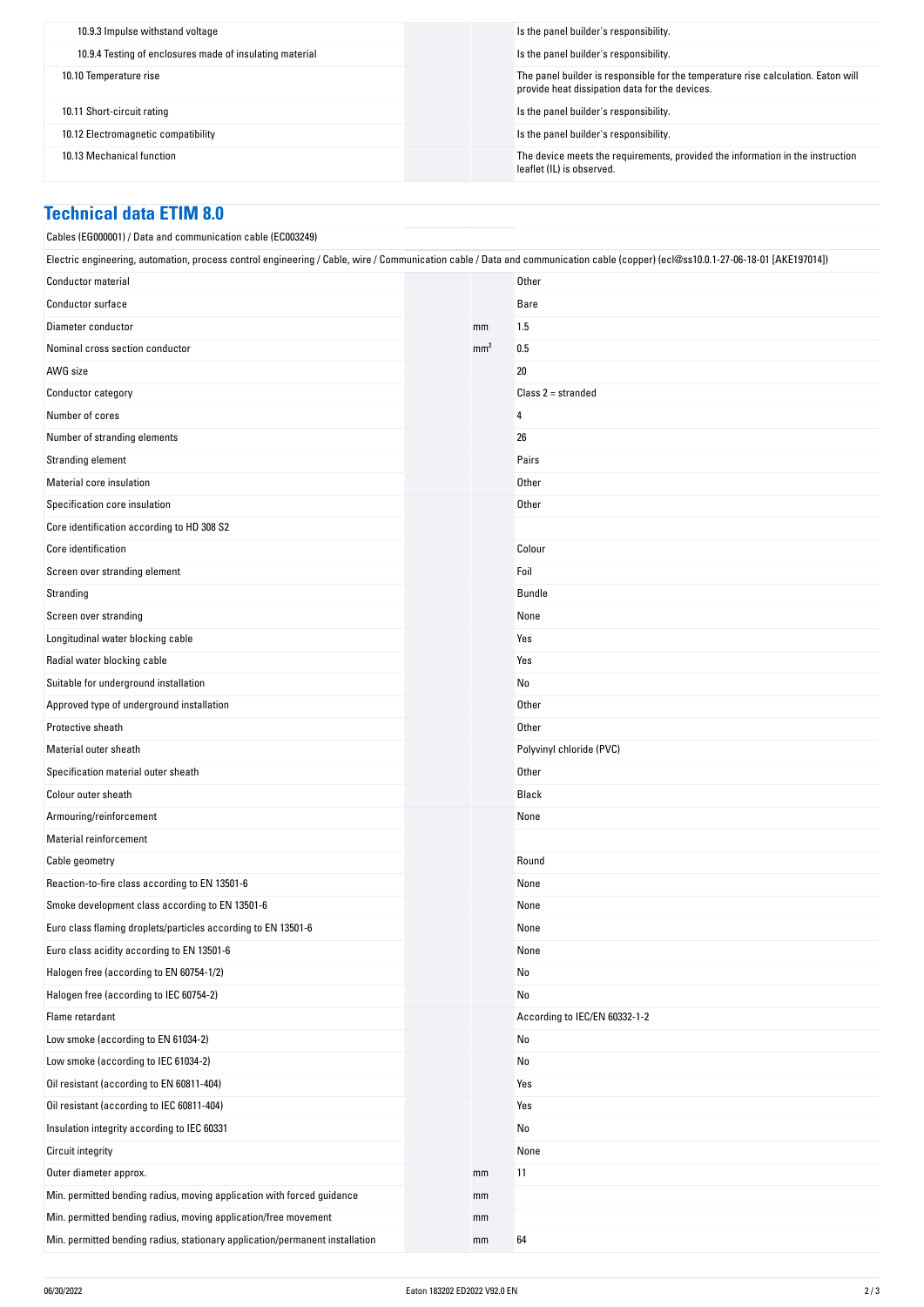| Is the panel builder's responsibility.                                                                                              |
|-------------------------------------------------------------------------------------------------------------------------------------|
| Is the panel builder's responsibility.                                                                                              |
| The panel builder is responsible for the temperature rise calculation. Eaton will<br>provide heat dissipation data for the devices. |
| Is the panel builder's responsibility.                                                                                              |
| Is the panel builder's responsibility.                                                                                              |
| The device meets the requirements, provided the information in the instruction<br>leaflet (IL) is observed.                         |
|                                                                                                                                     |

### **Technical data ETIM 8.0**

| Cables (EG000001) / Data and communication cable (EC003249)                                                                                                                      |                 |                               |
|----------------------------------------------------------------------------------------------------------------------------------------------------------------------------------|-----------------|-------------------------------|
| Electric engineering, automation, process control engineering / Cable, wire / Communication cable / Data and communication cable (copper) (ecl@ss10.0.1-27-06-18-01 [AKE197014]) |                 |                               |
| <b>Conductor material</b>                                                                                                                                                        |                 | Other                         |
| Conductor surface                                                                                                                                                                |                 | Bare                          |
| Diameter conductor                                                                                                                                                               | mm              | 1.5                           |
| Nominal cross section conductor                                                                                                                                                  | mm <sup>2</sup> | 0.5                           |
| AWG size                                                                                                                                                                         |                 | 20                            |
| Conductor category                                                                                                                                                               |                 | $Class 2 = stranded$          |
| Number of cores                                                                                                                                                                  |                 | 4                             |
| Number of stranding elements                                                                                                                                                     |                 | 26                            |
| Stranding element                                                                                                                                                                |                 | Pairs                         |
| Material core insulation                                                                                                                                                         |                 | Other                         |
| Specification core insulation                                                                                                                                                    |                 | Other                         |
| Core identification according to HD 308 S2                                                                                                                                       |                 |                               |
| Core identification                                                                                                                                                              |                 | Colour                        |
| Screen over stranding element                                                                                                                                                    |                 | Foil                          |
| Stranding                                                                                                                                                                        |                 | Bundle                        |
| Screen over stranding                                                                                                                                                            |                 | None                          |
| Longitudinal water blocking cable                                                                                                                                                |                 | Yes                           |
| Radial water blocking cable                                                                                                                                                      |                 | Yes                           |
| Suitable for underground installation                                                                                                                                            |                 | No                            |
| Approved type of underground installation                                                                                                                                        |                 | Other                         |
| Protective sheath                                                                                                                                                                |                 | Other                         |
| Material outer sheath                                                                                                                                                            |                 | Polyvinyl chloride (PVC)      |
| Specification material outer sheath                                                                                                                                              |                 | Other                         |
| Colour outer sheath                                                                                                                                                              |                 | Black                         |
| Armouring/reinforcement                                                                                                                                                          |                 | None                          |
| <b>Material reinforcement</b>                                                                                                                                                    |                 |                               |
| Cable geometry                                                                                                                                                                   |                 | Round                         |
| Reaction-to-fire class according to EN 13501-6                                                                                                                                   |                 | None                          |
| Smoke development class according to EN 13501-6                                                                                                                                  |                 | None                          |
| Euro class flaming droplets/particles according to EN 13501-6                                                                                                                    |                 | None                          |
| Euro class acidity according to EN 13501-6                                                                                                                                       |                 | None                          |
| Halogen free (according to EN 60754-1/2)                                                                                                                                         |                 | No                            |
| Halogen free (according to IEC 60754-2)                                                                                                                                          |                 | No                            |
| Flame retardant                                                                                                                                                                  |                 | According to IEC/EN 60332-1-2 |
| Low smoke (according to EN 61034-2)                                                                                                                                              |                 | No                            |
| Low smoke (according to IEC 61034-2)                                                                                                                                             |                 | No                            |
| Oil resistant (according to EN 60811-404)                                                                                                                                        |                 | Yes                           |
| Oil resistant (according to IEC 60811-404)                                                                                                                                       |                 | Yes                           |
| Insulation integrity according to IEC 60331                                                                                                                                      |                 | No                            |
| <b>Circuit integrity</b>                                                                                                                                                         |                 | None                          |
| Outer diameter approx.                                                                                                                                                           | mm              | 11                            |
| Min. permitted bending radius, moving application with forced guidance                                                                                                           | mm              |                               |
| Min. permitted bending radius, moving application/free movement                                                                                                                  | mm              |                               |
| Min. permitted bending radius, stationary application/permanent installation                                                                                                     | mm              | 64                            |